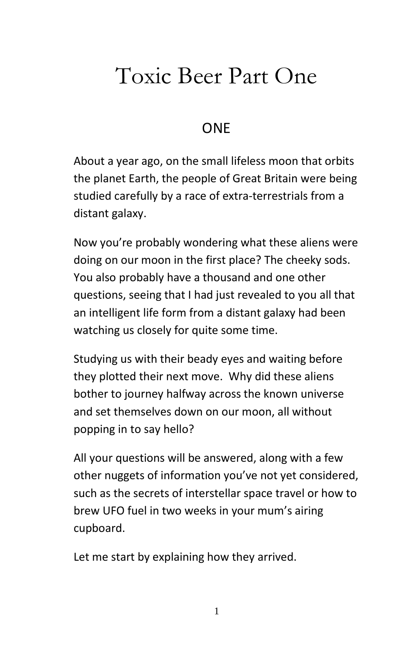## Toxic Beer Part One

## ONE

About a year ago, on the small lifeless moon that orbits the planet Earth, the people of Great Britain were being studied carefully by a race of extra-terrestrials from a distant galaxy.

Now you're probably wondering what these aliens were doing on our moon in the first place? The cheeky sods. You also probably have a thousand and one other questions, seeing that I had just revealed to you all that an intelligent life form from a distant galaxy had been watching us closely for quite some time.

Studying us with their beady eyes and waiting before they plotted their next move. Why did these aliens bother to journey halfway across the known universe and set themselves down on our moon, all without popping in to say hello?

All your questions will be answered, along with a few other nuggets of information you've not yet considered, such as the secrets of interstellar space travel or how to brew UFO fuel in two weeks in your mum's airing cupboard.

Let me start by explaining how they arrived.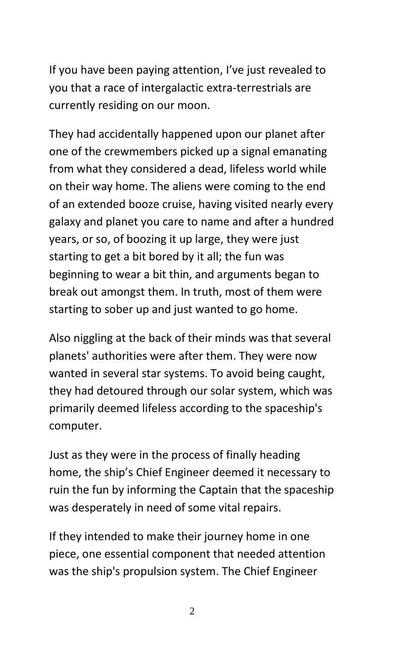If you have been paying attention, I've just revealed to you that a race of intergalactic extra-terrestrials are currently residing on our moon.

They had accidentally happened upon our planet after one of the crewmembers picked up a signal emanating from what they considered a dead, lifeless world while on their way home. The aliens were coming to the end of an extended booze cruise, having visited nearly every galaxy and planet you care to name and after a hundred years, or so, of boozing it up large, they were just starting to get a bit bored by it all; the fun was beginning to wear a bit thin, and arguments began to break out amongst them. In truth, most of them were starting to sober up and just wanted to go home.

Also niggling at the back of their minds was that several planets' authorities were after them. They were now wanted in several star systems. To avoid being caught, they had detoured through our solar system, which was primarily deemed lifeless according to the spaceship's computer.

Just as they were in the process of finally heading home, the ship's Chief Engineer deemed it necessary to ruin the fun by informing the Captain that the spaceship was desperately in need of some vital repairs.

If they intended to make their journey home in one piece, one essential component that needed attention was the ship's propulsion system. The Chief Engineer

 $\mathfrak{D}$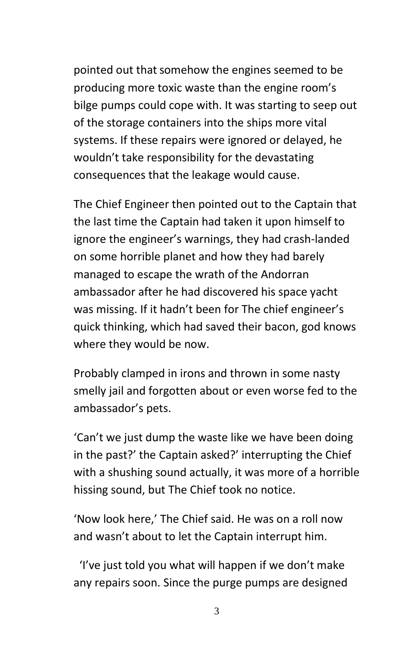pointed out that somehow the engines seemed to be producing more toxic waste than the engine room's bilge pumps could cope with. It was starting to seep out of the storage containers into the ships more vital systems. If these repairs were ignored or delayed, he wouldn't take responsibility for the devastating consequences that the leakage would cause.

The Chief Engineer then pointed out to the Captain that the last time the Captain had taken it upon himself to ignore the engineer's warnings, they had crash-landed on some horrible planet and how they had barely managed to escape the wrath of the Andorran ambassador after he had discovered his space yacht was missing. If it hadn't been for The chief engineer's quick thinking, which had saved their bacon, god knows where they would be now.

Probably clamped in irons and thrown in some nasty smelly jail and forgotten about or even worse fed to the ambassador's pets.

'Can't we just dump the waste like we have been doing in the past?' the Captain asked?' interrupting the Chief with a shushing sound actually, it was more of a horrible hissing sound, but The Chief took no notice.

'Now look here,' The Chief said. He was on a roll now and wasn't about to let the Captain interrupt him.

 'I've just told you what will happen if we don't make any repairs soon. Since the purge pumps are designed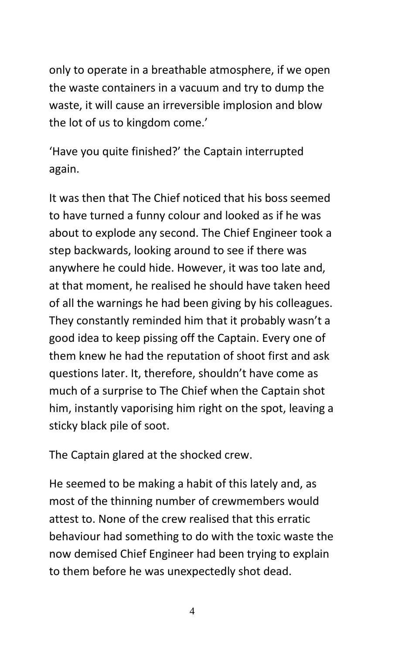only to operate in a breathable atmosphere, if we open the waste containers in a vacuum and try to dump the waste, it will cause an irreversible implosion and blow the lot of us to kingdom come.'

'Have you quite finished?' the Captain interrupted again.

It was then that The Chief noticed that his boss seemed to have turned a funny colour and looked as if he was about to explode any second. The Chief Engineer took a step backwards, looking around to see if there was anywhere he could hide. However, it was too late and, at that moment, he realised he should have taken heed of all the warnings he had been giving by his colleagues. They constantly reminded him that it probably wasn't a good idea to keep pissing off the Captain. Every one of them knew he had the reputation of shoot first and ask questions later. It, therefore, shouldn't have come as much of a surprise to The Chief when the Captain shot him, instantly vaporising him right on the spot, leaving a sticky black pile of soot.

The Captain glared at the shocked crew.

He seemed to be making a habit of this lately and, as most of the thinning number of crewmembers would attest to. None of the crew realised that this erratic behaviour had something to do with the toxic waste the now demised Chief Engineer had been trying to explain to them before he was unexpectedly shot dead.